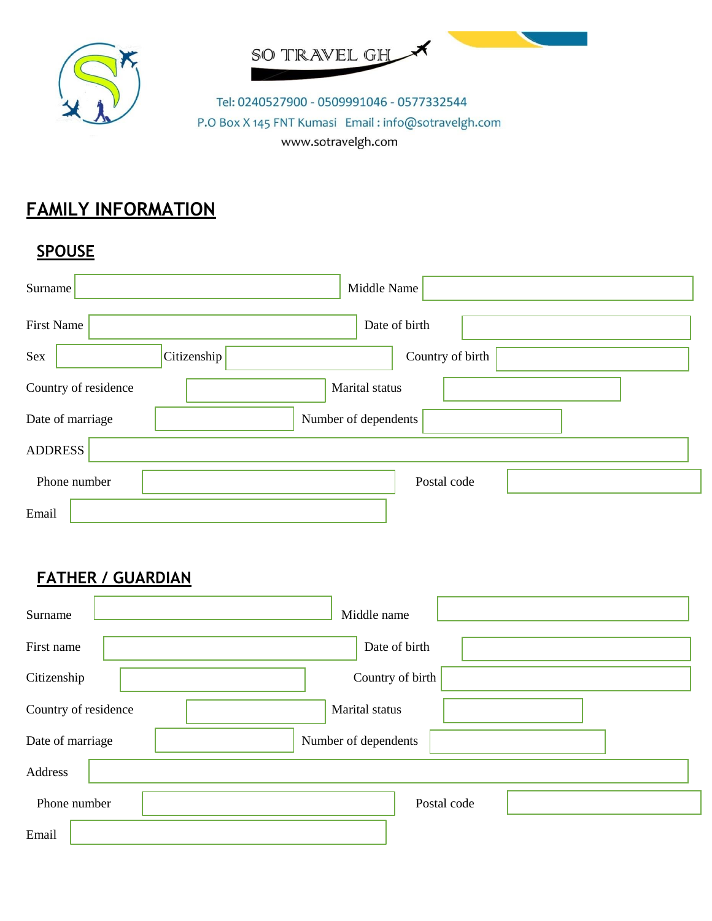



Tel: 0240527900 - 0509991046 - 0577332544 P.O Box X 145 FNT Kumasi Email: info@sotravelgh.com www.sotravelgh.com

## **FAMILY INFORMATION**

## **SPOUSE**

| Surname              | Middle Name                     |
|----------------------|---------------------------------|
| <b>First Name</b>    | Date of birth                   |
| Sex                  | Citizenship<br>Country of birth |
| Country of residence | Marital status                  |
| Date of marriage     | Number of dependents            |
| <b>ADDRESS</b>       |                                 |
| Phone number         | Postal code                     |
| Email                |                                 |

## **FATHER / GUARDIAN**

| Surname              | Middle name          |
|----------------------|----------------------|
| First name           | Date of birth        |
| Citizenship          | Country of birth     |
| Country of residence | Marital status       |
| Date of marriage     | Number of dependents |
| Address              |                      |
| Phone number         | Postal code          |
| Email                |                      |